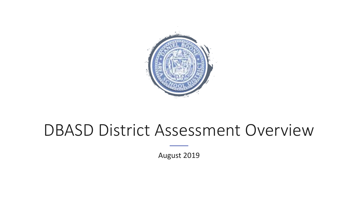

## DBASD District Assessment Overview

August 2019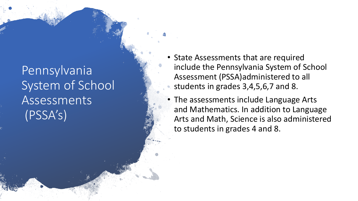### Pennsylvania System of School Assessments (PSSA's)

- State Assessments that are required include the Pennsylvania System of School Assessment (PSSA)administered to all students in grades 3,4,5,6,7 and 8.
- The assessments include Language Arts and Mathematics. In addition to Language Arts and Math, Science is also administered to students in grades 4 and 8.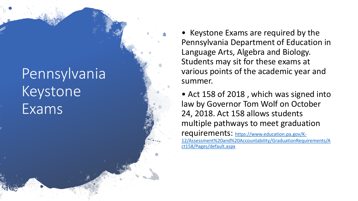# Pennsylvania Keystone Exams

• Keystone Exams are required by the Pennsylvania Department of Education in Language Arts, Algebra and Biology. Students may sit for these exams at various points of the academic year and summer.

• Act 158 of 2018, which was signed into law by Governor Tom Wolf on October 24, 2018. Act 158 allows students multiple pathways to meet graduation requirements: https://www.education.pa.gov/K-[12/Assessment%20and%20Accountability/GraduationRequirements/A](https://www.education.pa.gov/K-12/Assessment and Accountability/GraduationRequirements/Act158/Pages/default.aspx) ct158/Pages/default.aspx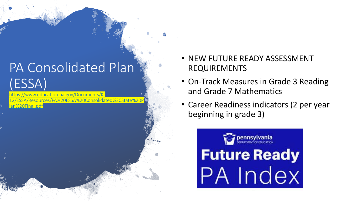## PA Consolidated Plan (ESSA)

education.pa.gov/Documents/Kes/PA%20ESSA%20Consolidat lan%20Final.pdf

- NEW FUTURE READY ASSESSMENT REQUIREMENTS
- On-Track Measures in Grade 3 Reading and Grade 7 Mathematics
- Career Readiness indicators (2 per year beginning in grade 3)

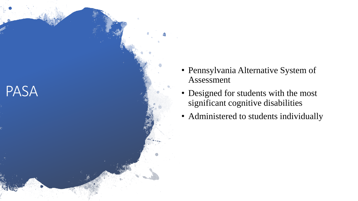

- Pennsylvania Alternative System of Assessment
- Designed for students with the most significant cognitive disabilities
- Administered to students individually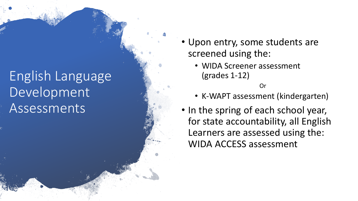## English Language Development **Assessments**

- Upon entry, some students are screened using the:
	- WIDA Screener assessment (grades 1 -12)

#### Or

- K -WAPT assessment (kindergarten)
- In the spring of each school year, for state accountability, all English Learners are assessed using the: WIDA ACCESS assessment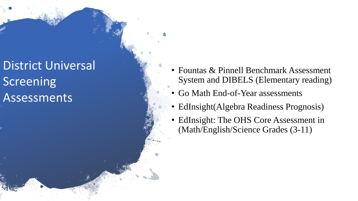## District Universal **Screening** Assessments

- Fountas & Pinnell Benchmark Assessment System and DIBELS (Elementary reading)
- Go Math End -of-Year assessments
- EdInsight(Algebra Readiness Prognosis)
- EdInsight: The OHS Core Assessment in (Math/English/Science Grades (3 -11)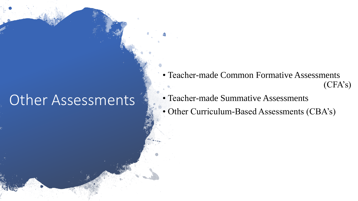## Other Assessments

• Teacher-made Common Formative Assessments (CFA's)

- Teacher-made Summative Assessments
- Other Curriculum-Based Assessments (CBA's)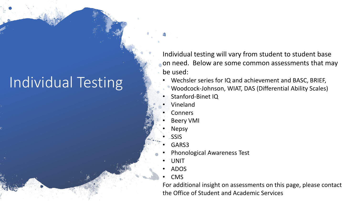# Individual Testing

Individual testing will vary from student to student base on need. Below are some common assessments that may be used:

- Wechsler series for IQ and achievement and BASC, BRIEF, Woodcock-Johnson, WIAT, DAS (Differential Ability Scales)
- Stanford-Binet IQ
- Vineland
- **Conners**
- Beery VMI
- Nepsy
- SSIS
- GARS3
- Phonological Awareness Test
- UNIT
- ADOS
- CMS

For additional insight on assessments on this page, please contact the Office of Student and Academic Services